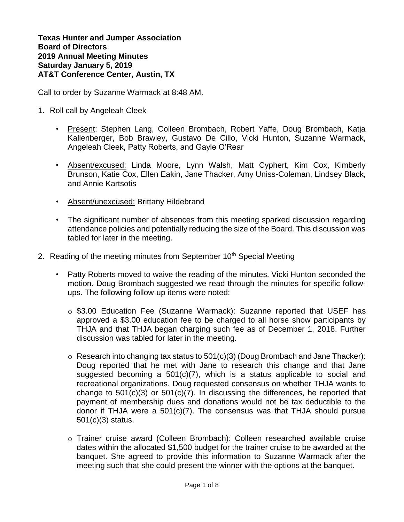**Texas Hunter and Jumper Association Board of Directors 2019 Annual Meeting Minutes Saturday January 5, 2019 AT&T Conference Center, Austin, TX**

Call to order by Suzanne Warmack at 8:48 AM.

- 1. Roll call by Angeleah Cleek
	- Present: Stephen Lang, Colleen Brombach, Robert Yaffe, Doug Brombach, Katja Kallenberger, Bob Brawley, Gustavo De Cillo, Vicki Hunton, Suzanne Warmack, Angeleah Cleek, Patty Roberts, and Gayle O'Rear
	- Absent/excused: Linda Moore, Lynn Walsh, Matt Cyphert, Kim Cox, Kimberly Brunson, Katie Cox, Ellen Eakin, Jane Thacker, Amy Uniss-Coleman, Lindsey Black, and Annie Kartsotis
	- Absent/unexcused: Brittany Hildebrand
	- The significant number of absences from this meeting sparked discussion regarding attendance policies and potentially reducing the size of the Board. This discussion was tabled for later in the meeting.
- 2. Reading of the meeting minutes from September 10<sup>th</sup> Special Meeting
	- Patty Roberts moved to waive the reading of the minutes. Vicki Hunton seconded the motion. Doug Brombach suggested we read through the minutes for specific followups. The following follow-up items were noted:
		- o \$3.00 Education Fee (Suzanne Warmack): Suzanne reported that USEF has approved a \$3.00 education fee to be charged to all horse show participants by THJA and that THJA began charging such fee as of December 1, 2018. Further discussion was tabled for later in the meeting.
		- $\circ$  Research into changing tax status to 501(c)(3) (Doug Brombach and Jane Thacker): Doug reported that he met with Jane to research this change and that Jane suggested becoming a 501(c)(7), which is a status applicable to social and recreational organizations. Doug requested consensus on whether THJA wants to change to  $501(c)(3)$  or  $501(c)(7)$ . In discussing the differences, he reported that payment of membership dues and donations would not be tax deductible to the donor if THJA were a 501(c)(7). The consensus was that THJA should pursue 501(c)(3) status.
		- o Trainer cruise award (Colleen Brombach): Colleen researched available cruise dates within the allocated \$1,500 budget for the trainer cruise to be awarded at the banquet. She agreed to provide this information to Suzanne Warmack after the meeting such that she could present the winner with the options at the banquet.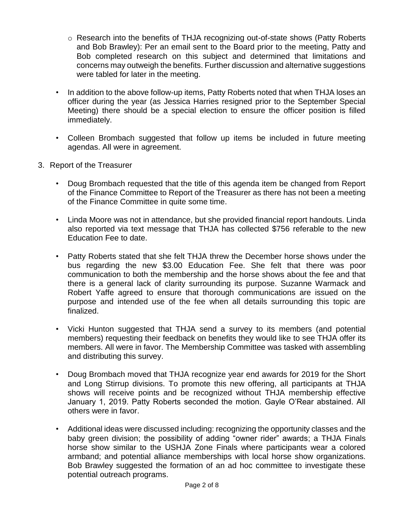- o Research into the benefits of THJA recognizing out-of-state shows (Patty Roberts and Bob Brawley): Per an email sent to the Board prior to the meeting, Patty and Bob completed research on this subject and determined that limitations and concerns may outweigh the benefits. Further discussion and alternative suggestions were tabled for later in the meeting.
- In addition to the above follow-up items, Patty Roberts noted that when THJA loses an officer during the year (as Jessica Harries resigned prior to the September Special Meeting) there should be a special election to ensure the officer position is filled immediately.
- Colleen Brombach suggested that follow up items be included in future meeting agendas. All were in agreement.
- 3. Report of the Treasurer
	- Doug Brombach requested that the title of this agenda item be changed from Report of the Finance Committee to Report of the Treasurer as there has not been a meeting of the Finance Committee in quite some time.
	- Linda Moore was not in attendance, but she provided financial report handouts. Linda also reported via text message that THJA has collected \$756 referable to the new Education Fee to date.
	- Patty Roberts stated that she felt THJA threw the December horse shows under the bus regarding the new \$3.00 Education Fee. She felt that there was poor communication to both the membership and the horse shows about the fee and that there is a general lack of clarity surrounding its purpose. Suzanne Warmack and Robert Yaffe agreed to ensure that thorough communications are issued on the purpose and intended use of the fee when all details surrounding this topic are finalized.
	- Vicki Hunton suggested that THJA send a survey to its members (and potential members) requesting their feedback on benefits they would like to see THJA offer its members. All were in favor. The Membership Committee was tasked with assembling and distributing this survey.
	- Doug Brombach moved that THJA recognize year end awards for 2019 for the Short and Long Stirrup divisions. To promote this new offering, all participants at THJA shows will receive points and be recognized without THJA membership effective January 1, 2019. Patty Roberts seconded the motion. Gayle O'Rear abstained. All others were in favor.
	- Additional ideas were discussed including: recognizing the opportunity classes and the baby green division; the possibility of adding "owner rider" awards; a THJA Finals horse show similar to the USHJA Zone Finals where participants wear a colored armband; and potential alliance memberships with local horse show organizations. Bob Brawley suggested the formation of an ad hoc committee to investigate these potential outreach programs.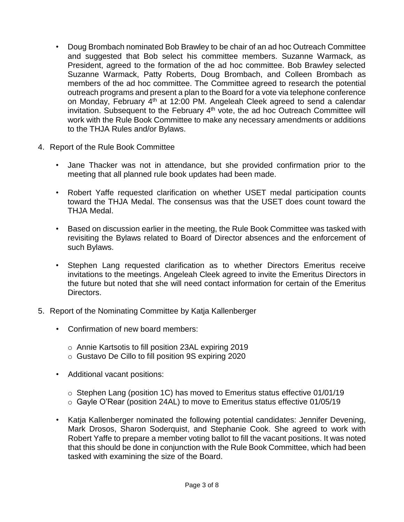- Doug Brombach nominated Bob Brawley to be chair of an ad hoc Outreach Committee and suggested that Bob select his committee members. Suzanne Warmack, as President, agreed to the formation of the ad hoc committee. Bob Brawley selected Suzanne Warmack, Patty Roberts, Doug Brombach, and Colleen Brombach as members of the ad hoc committee. The Committee agreed to research the potential outreach programs and present a plan to the Board for a vote via telephone conference on Monday, February 4<sup>th</sup> at 12:00 PM. Angeleah Cleek agreed to send a calendar invitation. Subsequent to the February 4<sup>th</sup> vote, the ad hoc Outreach Committee will work with the Rule Book Committee to make any necessary amendments or additions to the THJA Rules and/or Bylaws.
- 4. Report of the Rule Book Committee
	- Jane Thacker was not in attendance, but she provided confirmation prior to the meeting that all planned rule book updates had been made.
	- Robert Yaffe requested clarification on whether USET medal participation counts toward the THJA Medal. The consensus was that the USET does count toward the THJA Medal.
	- Based on discussion earlier in the meeting, the Rule Book Committee was tasked with revisiting the Bylaws related to Board of Director absences and the enforcement of such Bylaws.
	- Stephen Lang requested clarification as to whether Directors Emeritus receive invitations to the meetings. Angeleah Cleek agreed to invite the Emeritus Directors in the future but noted that she will need contact information for certain of the Emeritus Directors.
- 5. Report of the Nominating Committee by Katja Kallenberger
	- Confirmation of new board members:
		- o Annie Kartsotis to fill position 23AL expiring 2019
		- o Gustavo De Cillo to fill position 9S expiring 2020
	- Additional vacant positions:
		- o Stephen Lang (position 1C) has moved to Emeritus status effective 01/01/19
		- o Gayle O'Rear (position 24AL) to move to Emeritus status effective 01/05/19
	- Katja Kallenberger nominated the following potential candidates: Jennifer Devening, Mark Drosos, Sharon Soderquist, and Stephanie Cook. She agreed to work with Robert Yaffe to prepare a member voting ballot to fill the vacant positions. It was noted that this should be done in conjunction with the Rule Book Committee, which had been tasked with examining the size of the Board.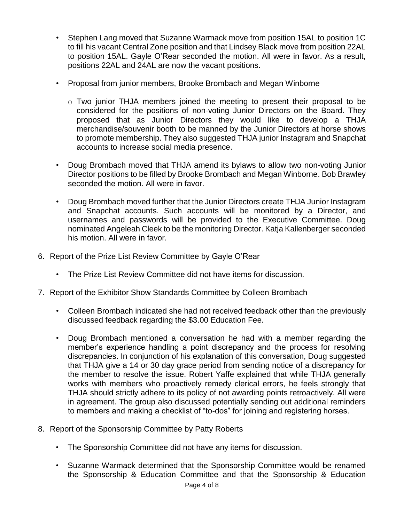- Stephen Lang moved that Suzanne Warmack move from position 15AL to position 1C to fill his vacant Central Zone position and that Lindsey Black move from position 22AL to position 15AL. Gayle O'Rear seconded the motion. All were in favor. As a result, positions 22AL and 24AL are now the vacant positions.
- Proposal from junior members, Brooke Brombach and Megan Winborne
	- o Two junior THJA members joined the meeting to present their proposal to be considered for the positions of non-voting Junior Directors on the Board. They proposed that as Junior Directors they would like to develop a THJA merchandise/souvenir booth to be manned by the Junior Directors at horse shows to promote membership. They also suggested THJA junior Instagram and Snapchat accounts to increase social media presence.
- Doug Brombach moved that THJA amend its bylaws to allow two non-voting Junior Director positions to be filled by Brooke Brombach and Megan Winborne. Bob Brawley seconded the motion. All were in favor.
- Doug Brombach moved further that the Junior Directors create THJA Junior Instagram and Snapchat accounts. Such accounts will be monitored by a Director, and usernames and passwords will be provided to the Executive Committee. Doug nominated Angeleah Cleek to be the monitoring Director. Katja Kallenberger seconded his motion. All were in favor.
- 6. Report of the Prize List Review Committee by Gayle O'Rear
	- The Prize List Review Committee did not have items for discussion.
- 7. Report of the Exhibitor Show Standards Committee by Colleen Brombach
	- Colleen Brombach indicated she had not received feedback other than the previously discussed feedback regarding the \$3.00 Education Fee.
	- Doug Brombach mentioned a conversation he had with a member regarding the member's experience handling a point discrepancy and the process for resolving discrepancies. In conjunction of his explanation of this conversation, Doug suggested that THJA give a 14 or 30 day grace period from sending notice of a discrepancy for the member to resolve the issue. Robert Yaffe explained that while THJA generally works with members who proactively remedy clerical errors, he feels strongly that THJA should strictly adhere to its policy of not awarding points retroactively. All were in agreement. The group also discussed potentially sending out additional reminders to members and making a checklist of "to-dos" for joining and registering horses.
- 8. Report of the Sponsorship Committee by Patty Roberts
	- The Sponsorship Committee did not have any items for discussion.
	- Suzanne Warmack determined that the Sponsorship Committee would be renamed the Sponsorship & Education Committee and that the Sponsorship & Education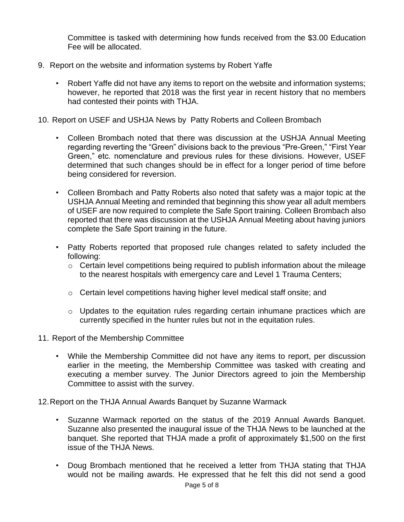Committee is tasked with determining how funds received from the \$3.00 Education Fee will be allocated.

- 9. Report on the website and information systems by Robert Yaffe
	- Robert Yaffe did not have any items to report on the website and information systems; however, he reported that 2018 was the first year in recent history that no members had contested their points with THJA.
- 10. Report on USEF and USHJA News by Patty Roberts and Colleen Brombach
	- Colleen Brombach noted that there was discussion at the USHJA Annual Meeting regarding reverting the "Green" divisions back to the previous "Pre-Green," "First Year Green," etc. nomenclature and previous rules for these divisions. However, USEF determined that such changes should be in effect for a longer period of time before being considered for reversion.
	- Colleen Brombach and Patty Roberts also noted that safety was a major topic at the USHJA Annual Meeting and reminded that beginning this show year all adult members of USEF are now required to complete the Safe Sport training. Colleen Brombach also reported that there was discussion at the USHJA Annual Meeting about having juniors complete the Safe Sport training in the future.
	- Patty Roberts reported that proposed rule changes related to safety included the following:
		- o Certain level competitions being required to publish information about the mileage to the nearest hospitals with emergency care and Level 1 Trauma Centers;
		- o Certain level competitions having higher level medical staff onsite; and
		- o Updates to the equitation rules regarding certain inhumane practices which are currently specified in the hunter rules but not in the equitation rules.
- 11. Report of the Membership Committee
	- While the Membership Committee did not have any items to report, per discussion earlier in the meeting, the Membership Committee was tasked with creating and executing a member survey. The Junior Directors agreed to join the Membership Committee to assist with the survey.
- 12.Report on the THJA Annual Awards Banquet by Suzanne Warmack
	- Suzanne Warmack reported on the status of the 2019 Annual Awards Banquet. Suzanne also presented the inaugural issue of the THJA News to be launched at the banquet. She reported that THJA made a profit of approximately \$1,500 on the first issue of the THJA News.
	- Doug Brombach mentioned that he received a letter from THJA stating that THJA would not be mailing awards. He expressed that he felt this did not send a good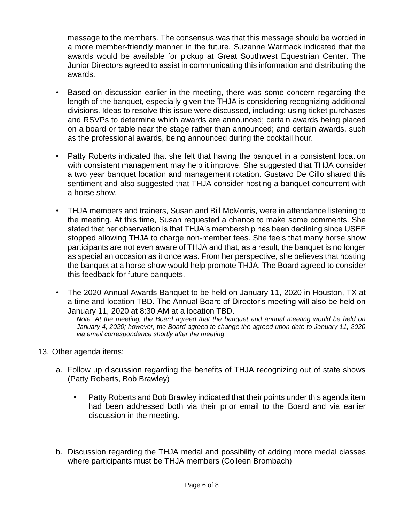message to the members. The consensus was that this message should be worded in a more member-friendly manner in the future. Suzanne Warmack indicated that the awards would be available for pickup at Great Southwest Equestrian Center. The Junior Directors agreed to assist in communicating this information and distributing the awards.

- Based on discussion earlier in the meeting, there was some concern regarding the length of the banquet, especially given the THJA is considering recognizing additional divisions. Ideas to resolve this issue were discussed, including: using ticket purchases and RSVPs to determine which awards are announced; certain awards being placed on a board or table near the stage rather than announced; and certain awards, such as the professional awards, being announced during the cocktail hour.
- Patty Roberts indicated that she felt that having the banquet in a consistent location with consistent management may help it improve. She suggested that THJA consider a two year banquet location and management rotation. Gustavo De Cillo shared this sentiment and also suggested that THJA consider hosting a banquet concurrent with a horse show.
- THJA members and trainers, Susan and Bill McMorris, were in attendance listening to the meeting. At this time, Susan requested a chance to make some comments. She stated that her observation is that THJA's membership has been declining since USEF stopped allowing THJA to charge non-member fees. She feels that many horse show participants are not even aware of THJA and that, as a result, the banquet is no longer as special an occasion as it once was. From her perspective, she believes that hosting the banquet at a horse show would help promote THJA. The Board agreed to consider this feedback for future banquets.
- The 2020 Annual Awards Banquet to be held on January 11, 2020 in Houston, TX at a time and location TBD. The Annual Board of Director's meeting will also be held on January 11, 2020 at 8:30 AM at a location TBD.

*Note: At the meeting, the Board agreed that the banquet and annual meeting would be held on January 4, 2020; however, the Board agreed to change the agreed upon date to January 11, 2020 via email correspondence shortly after the meeting.*

- 13. Other agenda items:
	- a. Follow up discussion regarding the benefits of THJA recognizing out of state shows (Patty Roberts, Bob Brawley)
		- Patty Roberts and Bob Brawley indicated that their points under this agenda item had been addressed both via their prior email to the Board and via earlier discussion in the meeting.
	- b. Discussion regarding the THJA medal and possibility of adding more medal classes where participants must be THJA members (Colleen Brombach)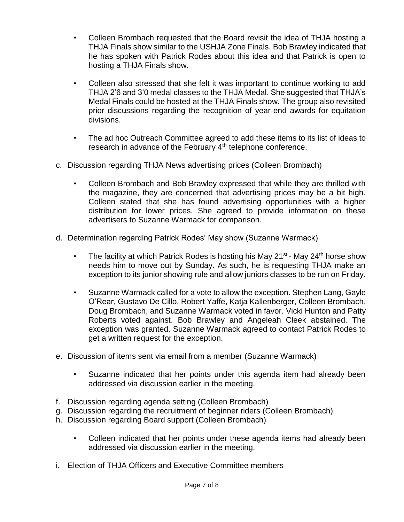- Colleen Brombach requested that the Board revisit the idea of THJA hosting a THJA Finals show similar to the USHJA Zone Finals. Bob Brawley indicated that he has spoken with Patrick Rodes about this idea and that Patrick is open to hosting a THJA Finals show.
- Colleen also stressed that she felt it was important to continue working to add THJA 2'6 and 3'0 medal classes to the THJA Medal. She suggested that THJA's Medal Finals could be hosted at the THJA Finals show. The group also revisited prior discussions regarding the recognition of year-end awards for equitation divisions.
- The ad hoc Outreach Committee agreed to add these items to its list of ideas to research in advance of the February 4<sup>th</sup> telephone conference.
- c. Discussion regarding THJA News advertising prices (Colleen Brombach)
	- Colleen Brombach and Bob Brawley expressed that while they are thrilled with the magazine, they are concerned that advertising prices may be a bit high. Colleen stated that she has found advertising opportunities with a higher distribution for lower prices. She agreed to provide information on these advertisers to Suzanne Warmack for comparison.
- d. Determination regarding Patrick Rodes' May show (Suzanne Warmack)
	- The facility at which Patrick Rodes is hosting his May 21 $st$  May 24 $th$  horse show needs him to move out by Sunday. As such, he is requesting THJA make an exception to its junior showing rule and allow juniors classes to be run on Friday.
	- Suzanne Warmack called for a vote to allow the exception. Stephen Lang, Gayle O'Rear, Gustavo De Cillo, Robert Yaffe, Katja Kallenberger, Colleen Brombach, Doug Brombach, and Suzanne Warmack voted in favor. Vicki Hunton and Patty Roberts voted against. Bob Brawley and Angeleah Cleek abstained. The exception was granted. Suzanne Warmack agreed to contact Patrick Rodes to get a written request for the exception.
- e. Discussion of items sent via email from a member (Suzanne Warmack)
	- Suzanne indicated that her points under this agenda item had already been addressed via discussion earlier in the meeting.
- f. Discussion regarding agenda setting (Colleen Brombach)
- g. Discussion regarding the recruitment of beginner riders (Colleen Brombach)
- h. Discussion regarding Board support (Colleen Brombach)
	- Colleen indicated that her points under these agenda items had already been addressed via discussion earlier in the meeting.
- i. Election of THJA Officers and Executive Committee members